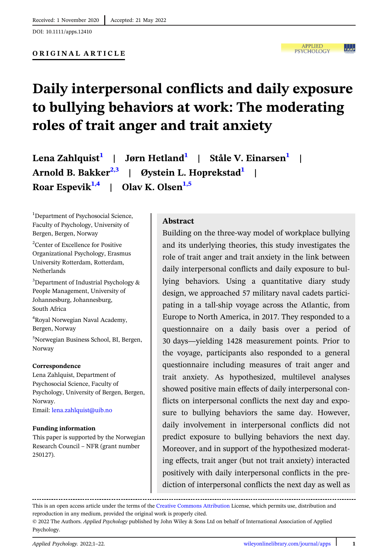**APPLIED**  $|.|_\mathtt{a}|_\mathtt{a}|$ **PSYCHOLOGY** 

# Daily interpersonal conflicts and daily exposure to bullying behaviors at work: The moderating roles of trait anger and trait anxiety

Lena Zahlquist<sup>1</sup> | Jørn Hetland<sup>1</sup> | Ståle V. Einarsen<sup>1</sup> | Arnold B. Bakker<sup>2,3</sup> | Øystein L. Hoprekstad<sup>1</sup> Roar Espevik<sup>1,4</sup> | Olav K. Olsen<sup>1,5</sup>

<sup>1</sup>Department of Psychosocial Science, Faculty of Psychology, University of Bergen, Bergen, Norway

2 Center of Excellence for Positive Organizational Psychology, Erasmus University Rotterdam, Rotterdam, Netherlands

<sup>3</sup>Department of Industrial Psychology & People Management, University of Johannesburg, Johannesburg, South Africa

4 Royal Norwegian Naval Academy, Bergen, Norway

5 Norwegian Business School, BI, Bergen, Norway

#### Correspondence

Lena Zahlquist, Department of Psychosocial Science, Faculty of Psychology, University of Bergen, Bergen, Norway. Email: [lena.zahlquist@uib.no](mailto:lena.zahlquist@uib.no)

#### Funding information

This paper is supported by the Norwegian Research Council – NFR (grant number 250127).

#### Abstract

Building on the three-way model of workplace bullying and its underlying theories, this study investigates the role of trait anger and trait anxiety in the link between daily interpersonal conflicts and daily exposure to bullying behaviors. Using a quantitative diary study design, we approached 57 military naval cadets participating in a tall-ship voyage across the Atlantic, from Europe to North America, in 2017. They responded to a questionnaire on a daily basis over a period of 30 days—yielding 1428 measurement points. Prior to the voyage, participants also responded to a general questionnaire including measures of trait anger and trait anxiety. As hypothesized, multilevel analyses showed positive main effects of daily interpersonal conflicts on interpersonal conflicts the next day and exposure to bullying behaviors the same day. However, daily involvement in interpersonal conflicts did not predict exposure to bullying behaviors the next day. Moreover, and in support of the hypothesized moderating effects, trait anger (but not trait anxiety) interacted positively with daily interpersonal conflicts in the prediction of interpersonal conflicts the next day as well as

This is an open access article under the terms of the [Creative Commons Attribution](http://creativecommons.org/licenses/by/4.0/) License, which permits use, distribution and reproduction in any medium, provided the original work is properly cited.

<sup>© 2022</sup> The Authors. Applied Psychology published by John Wiley & Sons Ltd on behalf of International Association of Applied Psychology.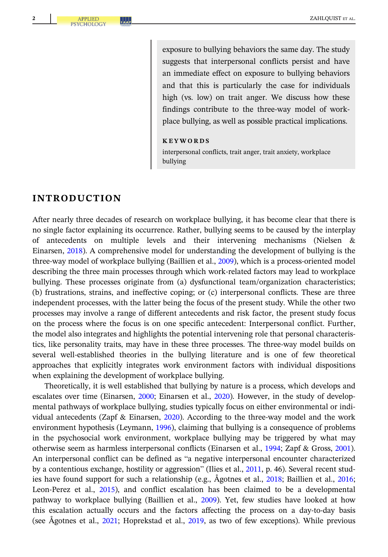exposure to bullying behaviors the same day. The study suggests that interpersonal conflicts persist and have an immediate effect on exposure to bullying behaviors and that this is particularly the case for individuals high (vs. low) on trait anger. We discuss how these findings contribute to the three-way model of workplace bullying, as well as possible practical implications.

KEYWORDS

interpersonal conflicts, trait anger, trait anxiety, workplace bullying

# INTRODUCTION

After nearly three decades of research on workplace bullying, it has become clear that there is no single factor explaining its occurrence. Rather, bullying seems to be caused by the interplay of antecedents on multiple levels and their intervening mechanisms (Nielsen & Einarsen, [2018](#page-20-0)). A comprehensive model for understanding the development of bullying is the three-way model of workplace bullying (Baillien et al., [2009](#page-18-0)), which is a process-oriented model describing the three main processes through which work-related factors may lead to workplace bullying. These processes originate from (a) dysfunctional team/organization characteristics; (b) frustrations, strains, and ineffective coping; or (c) interpersonal conflicts. These are three independent processes, with the latter being the focus of the present study. While the other two processes may involve a range of different antecedents and risk factor, the present study focus on the process where the focus is on one specific antecedent: Interpersonal conflict. Further, the model also integrates and highlights the potential intervening role that personal characteristics, like personality traits, may have in these three processes. The three-way model builds on several well-established theories in the bullying literature and is one of few theoretical approaches that explicitly integrates work environment factors with individual dispositions when explaining the development of workplace bullying.

Theoretically, it is well established that bullying by nature is a process, which develops and escalates over time (Einarsen, [2000](#page-18-0); Einarsen et al., [2020](#page-18-0)). However, in the study of developmental pathways of workplace bullying, studies typically focus on either environmental or individual antecedents (Zapf & Einarsen, [2020\)](#page-21-0). According to the three-way model and the work environment hypothesis (Leymann, [1996](#page-20-0)), claiming that bullying is a consequence of problems in the psychosocial work environment, workplace bullying may be triggered by what may otherwise seem as harmless interpersonal conflicts (Einarsen et al., [1994;](#page-19-0) Zapf & Gross, [2001](#page-21-0)). An interpersonal conflict can be defined as "a negative interpersonal encounter characterized by a contentious exchange, hostility or aggression" (Ilies et al., [2011,](#page-19-0) p. 46). Several recent studies have found support for such a relationship (e.g., Ågotnes et al., [2018](#page-18-0); Baillien et al., [2016;](#page-18-0) Leon-Perez et al., [2015\)](#page-20-0), and conflict escalation has been claimed to be a developmental pathway to workplace bullying (Baillien et al., [2009\)](#page-18-0). Yet, few studies have looked at how this escalation actually occurs and the factors affecting the process on a day-to-day basis (see Ågotnes et al., [2021](#page-18-0); Hoprekstad et al., [2019,](#page-19-0) as two of few exceptions). While previous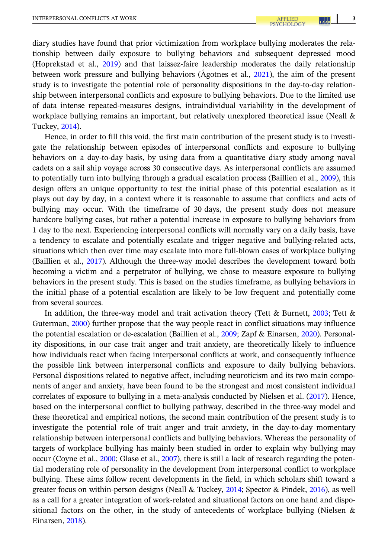diary studies have found that prior victimization from workplace bullying moderates the relationship between daily exposure to bullying behaviors and subsequent depressed mood (Hoprekstad et al., [2019\)](#page-19-0) and that laissez-faire leadership moderates the daily relationship between work pressure and bullying behaviors (Ågotnes et al., [2021\)](#page-18-0), the aim of the present study is to investigate the potential role of personality dispositions in the day-to-day relationship between interpersonal conflicts and exposure to bullying behaviors. Due to the limited use of data intense repeated-measures designs, intraindividual variability in the development of workplace bullying remains an important, but relatively unexplored theoretical issue (Neall & Tuckey, [2014\)](#page-20-0).

Hence, in order to fill this void, the first main contribution of the present study is to investigate the relationship between episodes of interpersonal conflicts and exposure to bullying behaviors on a day-to-day basis, by using data from a quantitative diary study among naval cadets on a sail ship voyage across 30 consecutive days. As interpersonal conflicts are assumed to potentially turn into bullying through a gradual escalation process (Baillien et al., [2009\)](#page-18-0), this design offers an unique opportunity to test the initial phase of this potential escalation as it plays out day by day, in a context where it is reasonable to assume that conflicts and acts of bullying may occur. With the timeframe of 30 days, the present study does not measure hardcore bullying cases, but rather a potential increase in exposure to bullying behaviors from 1 day to the next. Experiencing interpersonal conflicts will normally vary on a daily basis, have a tendency to escalate and potentially escalate and trigger negative and bullying-related acts, situations which then over time may escalate into more full-blown cases of workplace bullying (Baillien et al., [2017\)](#page-18-0). Although the three-way model describes the development toward both becoming a victim and a perpetrator of bullying, we chose to measure exposure to bullying behaviors in the present study. This is based on the studies timeframe, as bullying behaviors in the initial phase of a potential escalation are likely to be low frequent and potentially come from several sources.

In addition, the three-way model and trait activation theory (Tett & Burnett, [2003](#page-21-0); Tett & Guterman, [2000\)](#page-21-0) further propose that the way people react in conflict situations may influence the potential escalation or de-escalation (Baillien et al., [2009](#page-18-0); Zapf & Einarsen, [2020](#page-21-0)). Personality dispositions, in our case trait anger and trait anxiety, are theoretically likely to influence how individuals react when facing interpersonal conflicts at work, and consequently influence the possible link between interpersonal conflicts and exposure to daily bullying behaviors. Personal dispositions related to negative affect, including neuroticism and its two main components of anger and anxiety, have been found to be the strongest and most consistent individual correlates of exposure to bullying in a meta-analysis conducted by Nielsen et al. [\(2017\)](#page-20-0). Hence, based on the interpersonal conflict to bullying pathway, described in the three-way model and these theoretical and empirical notions, the second main contribution of the present study is to investigate the potential role of trait anger and trait anxiety, in the day-to-day momentary relationship between interpersonal conflicts and bullying behaviors. Whereas the personality of targets of workplace bullying has mainly been studied in order to explain why bullying may occur (Coyne et al., [2000](#page-18-0); Glasø et al., [2007](#page-19-0)), there is still a lack of research regarding the potential moderating role of personality in the development from interpersonal conflict to workplace bullying. These aims follow recent developments in the field, in which scholars shift toward a greater focus on within-person designs (Neall & Tuckey, [2014;](#page-20-0) Spector & Pindek, [2016](#page-21-0)), as well as a call for a greater integration of work-related and situational factors on one hand and dispositional factors on the other, in the study of antecedents of workplace bullying (Nielsen & Einarsen, [2018\)](#page-20-0).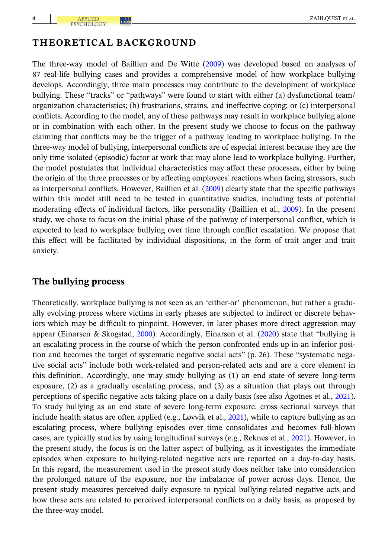# THEORETICAL BACKGROUND

The three-way model of Baillien and De Witte ([2009](#page-18-0)) was developed based on analyses of 87 real-life bullying cases and provides a comprehensive model of how workplace bullying develops. Accordingly, three main processes may contribute to the development of workplace bullying. These "tracks" or "pathways" were found to start with either (a) dysfunctional team/ organization characteristics; (b) frustrations, strains, and ineffective coping; or (c) interpersonal conflicts. According to the model, any of these pathways may result in workplace bullying alone or in combination with each other. In the present study we choose to focus on the pathway claiming that conflicts may be the trigger of a pathway leading to workplace bullying. In the three-way model of bullying, interpersonal conflicts are of especial interest because they are the only time isolated (episodic) factor at work that may alone lead to workplace bullying. Further, the model postulates that individual characteristics may affect these processes, either by being the origin of the three processes or by affecting employees' reactions when facing stressors, such as interpersonal conflicts. However, Baillien et al. [\(2009\)](#page-18-0) clearly state that the specific pathways within this model still need to be tested in quantitative studies, including tests of potential moderating effects of individual factors, like personality (Baillien et al., [2009](#page-18-0)). In the present study, we chose to focus on the initial phase of the pathway of interpersonal conflict, which is expected to lead to workplace bullying over time through conflict escalation. We propose that this effect will be facilitated by individual dispositions, in the form of trait anger and trait anxiety.

# The bullying process

Theoretically, workplace bullying is not seen as an 'either-or' phenomenon, but rather a gradually evolving process where victims in early phases are subjected to indirect or discrete behaviors which may be difficult to pinpoint. However, in later phases more direct aggression may appear (Einarsen & Skogstad, [2000\)](#page-19-0). Accordingly, Einarsen et al. ([2020](#page-18-0)) state that "bullying is an escalating process in the course of which the person confronted ends up in an inferior position and becomes the target of systematic negative social acts" (p. 26). These "systematic negative social acts" include both work-related and person-related acts and are a core element in this definition. Accordingly, one may study bullying as (1) an end state of severe long-term exposure, (2) as a gradually escalating process, and (3) as a situation that plays out through perceptions of specific negative acts taking place on a daily basis (see also Ågotnes et al., [2021](#page-18-0)). To study bullying as an end state of severe long-term exposure, cross sectional surveys that include health status are often applied (e.g., Løvvik et al., [2021\)](#page-20-0), while to capture bullying as an escalating process, where bullying episodes over time consolidates and becomes full-blown cases, are typically studies by using longitudinal surveys (e.g., Reknes et al., [2021\)](#page-21-0). However, in the present study, the focus is on the latter aspect of bullying, as it investigates the immediate episodes when exposure to bullying-related negative acts are reported on a day-to-day basis. In this regard, the measurement used in the present study does neither take into consideration the prolonged nature of the exposure, nor the imbalance of power across days. Hence, the present study measures perceived daily exposure to typical bullying-related negative acts and how these acts are related to perceived interpersonal conflicts on a daily basis, as proposed by the three-way model.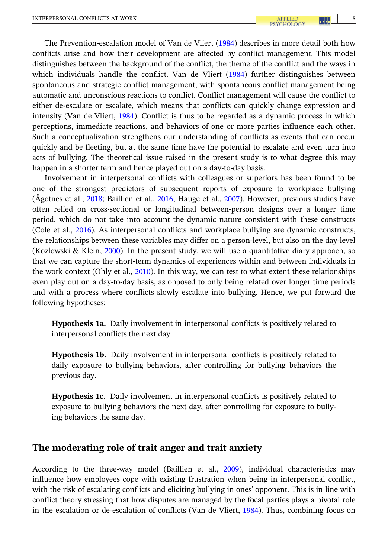<span id="page-4-0"></span>The Prevention-escalation model of Van de Vliert [\(1984\)](#page-21-0) describes in more detail both how conflicts arise and how their development are affected by conflict management. This model distinguishes between the background of the conflict, the theme of the conflict and the ways in which individuals handle the conflict. Van de Vliert ([1984](#page-21-0)) further distinguishes between spontaneous and strategic conflict management, with spontaneous conflict management being automatic and unconscious reactions to conflict. Conflict management will cause the conflict to either de-escalate or escalate, which means that conflicts can quickly change expression and intensity (Van de Vliert, [1984\)](#page-21-0). Conflict is thus to be regarded as a dynamic process in which perceptions, immediate reactions, and behaviors of one or more parties influence each other. Such a conceptualization strengthens our understanding of conflicts as events that can occur quickly and be fleeting, but at the same time have the potential to escalate and even turn into acts of bullying. The theoretical issue raised in the present study is to what degree this may happen in a shorter term and hence played out on a day-to-day basis.

Involvement in interpersonal conflicts with colleagues or superiors has been found to be one of the strongest predictors of subsequent reports of exposure to workplace bullying (Ågotnes et al., [2018](#page-18-0); Baillien et al., [2016](#page-18-0); Hauge et al., [2007\)](#page-19-0). However, previous studies have often relied on cross-sectional or longitudinal between-person designs over a longer time period, which do not take into account the dynamic nature consistent with these constructs (Cole et al., [2016](#page-18-0)). As interpersonal conflicts and workplace bullying are dynamic constructs, the relationships between these variables may differ on a person-level, but also on the day-level (Kozlowski & Klein, [2000](#page-20-0)). In the present study, we will use a quantitative diary approach, so that we can capture the short-term dynamics of experiences within and between individuals in the work context (Ohly et al., [2010](#page-20-0)). In this way, we can test to what extent these relationships even play out on a day-to-day basis, as opposed to only being related over longer time periods and with a process where conflicts slowly escalate into bullying. Hence, we put forward the following hypotheses:

Hypothesis 1a. Daily involvement in interpersonal conflicts is positively related to interpersonal conflicts the next day.

Hypothesis 1b. Daily involvement in interpersonal conflicts is positively related to daily exposure to bullying behaviors, after controlling for bullying behaviors the previous day.

Hypothesis 1c. Daily involvement in interpersonal conflicts is positively related to exposure to bullying behaviors the next day, after controlling for exposure to bullying behaviors the same day.

## The moderating role of trait anger and trait anxiety

According to the three-way model (Baillien et al., [2009\)](#page-18-0), individual characteristics may influence how employees cope with existing frustration when being in interpersonal conflict, with the risk of escalating conflicts and eliciting bullying in ones' opponent. This is in line with conflict theory stressing that how disputes are managed by the focal parties plays a pivotal role in the escalation or de-escalation of conflicts (Van de Vliert, [1984](#page-21-0)). Thus, combining focus on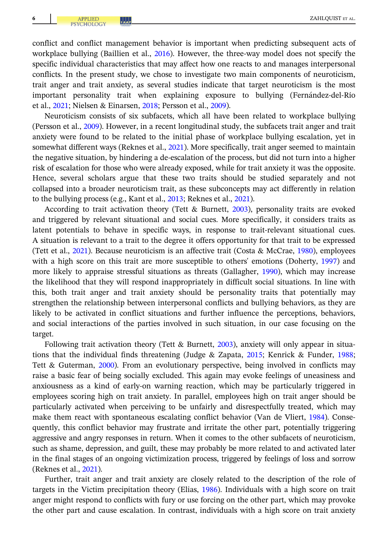conflict and conflict management behavior is important when predicting subsequent acts of workplace bullying (Baillien et al., [2016](#page-18-0)). However, the three-way model does not specify the specific individual characteristics that may affect how one reacts to and manages interpersonal conflicts. In the present study, we chose to investigate two main components of neuroticism, trait anger and trait anxiety, as several studies indicate that target neuroticism is the most important personality trait when explaining exposure to bullying (Fernandez-del-Río et al., [2021;](#page-19-0) Nielsen & Einarsen, [2018](#page-20-0); Persson et al., [2009\)](#page-20-0).

Neuroticism consists of six subfacets, which all have been related to workplace bullying (Persson et al., [2009\)](#page-20-0). However, in a recent longitudinal study, the subfacets trait anger and trait anxiety were found to be related to the initial phase of workplace bullying escalation, yet in somewhat different ways (Reknes et al., [2021\)](#page-21-0). More specifically, trait anger seemed to maintain the negative situation, by hindering a de-escalation of the process, but did not turn into a higher risk of escalation for those who were already exposed, while for trait anxiety it was the opposite. Hence, several scholars argue that these two traits should be studied separately and not collapsed into a broader neuroticism trait, as these subconcepts may act differently in relation to the bullying process (e.g., Kant et al., [2013;](#page-20-0) Reknes et al., [2021\)](#page-21-0).

According to trait activation theory (Tett & Burnett, [2003\)](#page-21-0), personality traits are evoked and triggered by relevant situational and social cues. More specifically, it considers traits as latent potentials to behave in specific ways, in response to trait-relevant situational cues. A situation is relevant to a trait to the degree it offers opportunity for that trait to be expressed (Tett et al., [2021](#page-21-0)). Because neuroticism is an affective trait (Costa & McCrae, [1980](#page-18-0)), employees with a high score on this trait are more susceptible to others' emotions (Doherty, [1997](#page-18-0)) and more likely to appraise stressful situations as threats (Gallagher, [1990](#page-19-0)), which may increase the likelihood that they will respond inappropriately in difficult social situations. In line with this, both trait anger and trait anxiety should be personality traits that potentially may strengthen the relationship between interpersonal conflicts and bullying behaviors, as they are likely to be activated in conflict situations and further influence the perceptions, behaviors, and social interactions of the parties involved in such situation, in our case focusing on the target.

Following trait activation theory (Tett & Burnett, [2003](#page-21-0)), anxiety will only appear in situations that the individual finds threatening (Judge & Zapata, [2015;](#page-19-0) Kenrick & Funder, [1988;](#page-20-0) Tett & Guterman, [2000\)](#page-21-0). From an evolutionary perspective, being involved in conflicts may raise a basic fear of being socially excluded. This again may evoke feelings of uneasiness and anxiousness as a kind of early-on warning reaction, which may be particularly triggered in employees scoring high on trait anxiety. In parallel, employees high on trait anger should be particularly activated when perceiving to be unfairly and disrespectfully treated, which may make them react with spontaneous escalating conflict behavior (Van de Vliert, [1984\)](#page-21-0). Consequently, this conflict behavior may frustrate and irritate the other part, potentially triggering aggressive and angry responses in return. When it comes to the other subfacets of neuroticism, such as shame, depression, and guilt, these may probably be more related to and activated later in the final stages of an ongoing victimization process, triggered by feelings of loss and sorrow (Reknes et al., [2021](#page-21-0)).

Further, trait anger and trait anxiety are closely related to the description of the role of targets in the Victim precipitation theory (Elias, [1986\)](#page-19-0). Individuals with a high score on trait anger might respond to conflicts with fury or use forcing on the other part, which may provoke the other part and cause escalation. In contrast, individuals with a high score on trait anxiety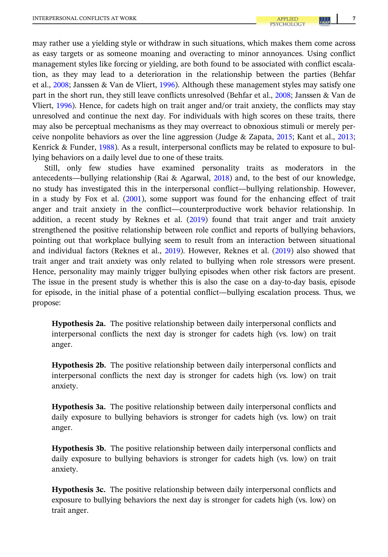<span id="page-6-0"></span>may rather use a yielding style or withdraw in such situations, which makes them come across as easy targets or as someone moaning and overacting to minor annoyances. Using conflict management styles like forcing or yielding, are both found to be associated with conflict escalation, as they may lead to a deterioration in the relationship between the parties (Behfar et al., [2008](#page-18-0); Janssen & Van de Vliert, [1996\)](#page-19-0). Although these management styles may satisfy one part in the short run, they still leave conflicts unresolved (Behfar et al., [2008](#page-18-0); Janssen & Van de Vliert, [1996\)](#page-19-0). Hence, for cadets high on trait anger and/or trait anxiety, the conflicts may stay unresolved and continue the next day. For individuals with high scores on these traits, there may also be perceptual mechanisms as they may overreact to obnoxious stimuli or merely perceive nonpolite behaviors as over the line aggression (Judge & Zapata, [2015](#page-19-0); Kant et al., [2013;](#page-20-0) Kenrick & Funder, [1988](#page-20-0)). As a result, interpersonal conflicts may be related to exposure to bullying behaviors on a daily level due to one of these traits.

Still, only few studies have examined personality traits as moderators in the antecedents—bullying relationship (Rai & Agarwal, [2018\)](#page-20-0) and, to the best of our knowledge, no study has investigated this in the interpersonal conflict—bullying relationship. However, in a study by Fox et al. [\(2001\)](#page-19-0), some support was found for the enhancing effect of trait anger and trait anxiety in the conflict—counterproductive work behavior relationship. In addition, a recent study by Reknes et al.  $(2019)$  $(2019)$  $(2019)$  found that trait anger and trait anxiety strengthened the positive relationship between role conflict and reports of bullying behaviors, pointing out that workplace bullying seem to result from an interaction between situational and individual factors (Reknes et al., [2019](#page-20-0)). However, Reknes et al. ([2019](#page-20-0)) also showed that trait anger and trait anxiety was only related to bullying when role stressors were present. Hence, personality may mainly trigger bullying episodes when other risk factors are present. The issue in the present study is whether this is also the case on a day-to-day basis, episode for episode, in the initial phase of a potential conflict—bullying escalation process. Thus, we propose:

Hypothesis 2a. The positive relationship between daily interpersonal conflicts and interpersonal conflicts the next day is stronger for cadets high (vs. low) on trait anger.

Hypothesis 2b. The positive relationship between daily interpersonal conflicts and interpersonal conflicts the next day is stronger for cadets high (vs. low) on trait anxiety.

Hypothesis 3a. The positive relationship between daily interpersonal conflicts and daily exposure to bullying behaviors is stronger for cadets high (vs. low) on trait anger.

Hypothesis 3b. The positive relationship between daily interpersonal conflicts and daily exposure to bullying behaviors is stronger for cadets high (vs. low) on trait anxiety.

Hypothesis 3c. The positive relationship between daily interpersonal conflicts and exposure to bullying behaviors the next day is stronger for cadets high (vs. low) on trait anger.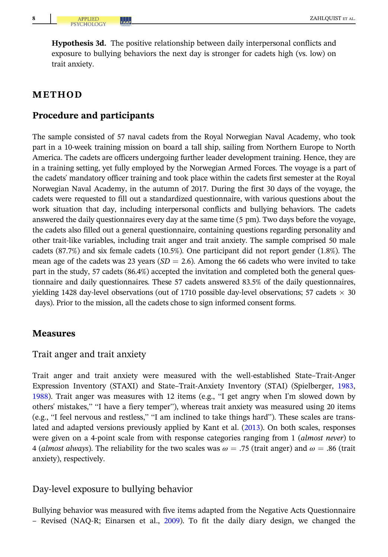<span id="page-7-0"></span>Hypothesis 3d. The positive relationship between daily interpersonal conflicts and exposure to bullying behaviors the next day is stronger for cadets high (vs. low) on trait anxiety.

# METHOD

# Procedure and participants

The sample consisted of 57 naval cadets from the Royal Norwegian Naval Academy, who took part in a 10-week training mission on board a tall ship, sailing from Northern Europe to North America. The cadets are officers undergoing further leader development training. Hence, they are in a training setting, yet fully employed by the Norwegian Armed Forces. The voyage is a part of the cadets' mandatory officer training and took place within the cadets first semester at the Royal Norwegian Naval Academy, in the autumn of 2017. During the first 30 days of the voyage, the cadets were requested to fill out a standardized questionnaire, with various questions about the work situation that day, including interpersonal conflicts and bullying behaviors. The cadets answered the daily questionnaires every day at the same time (5 pm). Two days before the voyage, the cadets also filled out a general questionnaire, containing questions regarding personality and other trait-like variables, including trait anger and trait anxiety. The sample comprised 50 male cadets (87.7%) and six female cadets (10.5%). One participant did not report gender (1.8%). The mean age of the cadets was 23 years ( $SD = 2.6$ ). Among the 66 cadets who were invited to take part in the study, 57 cadets (86.4%) accepted the invitation and completed both the general questionnaire and daily questionnaires. These 57 cadets answered 83.5% of the daily questionnaires, yielding 1428 day-level observations (out of 1710 possible day-level observations; 57 cadets  $\times$  30 days). Prior to the mission, all the cadets chose to sign informed consent forms.

#### **Measures**

#### Trait anger and trait anxiety

Trait anger and trait anxiety were measured with the well-established State–Trait-Anger Expression Inventory (STAXI) and State–Trait-Anxiety Inventory (STAI) (Spielberger, [1983,](#page-21-0) [1988](#page-21-0)). Trait anger was measures with 12 items (e.g., "I get angry when I'm slowed down by others' mistakes," "I have a fiery temper"), whereas trait anxiety was measured using 20 items (e.g., "I feel nervous and restless," "I am inclined to take things hard"). These scales are translated and adapted versions previously applied by Kant et al. [\(2013](#page-20-0)). On both scales, responses were given on a 4-point scale from with response categories ranging from 1 *(almost never)* to 4 (almost always). The reliability for the two scales was  $\omega = .75$  (trait anger) and  $\omega = .86$  (trait anxiety), respectively.

## Day-level exposure to bullying behavior

Bullying behavior was measured with five items adapted from the Negative Acts Questionnaire – Revised (NAQ-R; Einarsen et al., [2009\)](#page-18-0). To fit the daily diary design, we changed the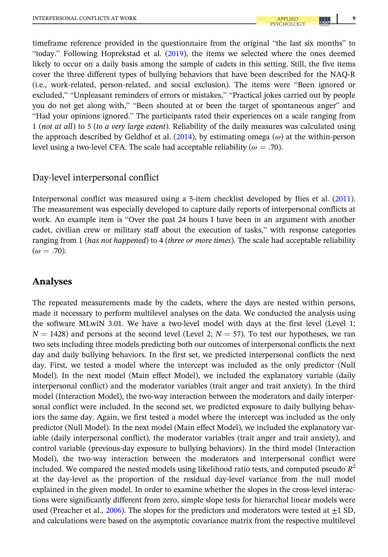timeframe reference provided in the questionnaire from the original "the last six months" to "today." Following Hoprekstad et al. ([2019](#page-19-0)), the items we selected where the ones deemed likely to occur on a daily basis among the sample of cadets in this setting. Still, the five items cover the three different types of bullying behaviors that have been described for the NAQ-R (i.e., work-related, person-related, and social exclusion). The items were "Been ignored or excluded," "Unpleasant reminders of errors or mistakes," "Practical jokes carried out by people you do not get along with," "Been shouted at or been the target of spontaneous anger" and "Had your opinions ignored." The participants rated their experiences on a scale ranging from 1 (not at all) to 5 (to a very large extent). Reliability of the daily measures was calculated using the approach described by Geldhof et al. [\(2014\)](#page-19-0), by estimating omega  $(\omega)$  at the within-person level using a two-level CFA. The scale had acceptable reliability ( $\omega = .70$ ).

## Day-level interpersonal conflict

Interpersonal conflict was measured using a 5-item checklist developed by Ilies et al. ([2011](#page-19-0)). The measurement was especially developed to capture daily reports of interpersonal conflicts at work. An example item is "Over the past 24 hours I have been in an argument with another cadet, civilian crew or military staff about the execution of tasks," with response categories ranging from 1 (has not happened) to 4 (three or more times). The scale had acceptable reliability  $(\omega = .70)$ .

# Analyses

The repeated measurements made by the cadets, where the days are nested within persons, made it necessary to perform multilevel analyses on the data. We conducted the analysis using the software MLwiN 3.01. We have a two-level model with days at the first level (Level 1;  $N = 1428$ ) and persons at the second level (Level 2;  $N = 57$ ). To test our hypotheses, we ran two sets including three models predicting both our outcomes of interpersonal conflicts the next day and daily bullying behaviors. In the first set, we predicted interpersonal conflicts the next day. First, we tested a model where the intercept was included as the only predictor (Null Model). In the next model (Main effect Model), we included the explanatory variable (daily interpersonal conflict) and the moderator variables (trait anger and trait anxiety). In the third model (Interaction Model), the two-way interaction between the moderators and daily interpersonal conflict were included. In the second set, we predicted exposure to daily bullying behaviors the same day. Again, we first tested a model where the intercept was included as the only predictor (Null Model). In the next model (Main effect Model), we included the explanatory variable (daily interpersonal conflict), the moderator variables (trait anger and trait anxiety), and control variable (previous-day exposure to bullying behaviors). In the third model (Interaction Model), the two-way interaction between the moderators and interpersonal conflict were included. We compared the nested models using likelihood ratio tests, and computed pseudo  $R^2$ at the day-level as the proportion of the residual day-level variance from the null model explained in the given model. In order to examine whether the slopes in the cross-level interactions were significantly different from zero, simple slope tests for hierarchal linear models were used (Preacher et al., [2006\)](#page-20-0). The slopes for the predictors and moderators were tested at  $\pm 1$  SD, and calculations were based on the asymptotic covariance matrix from the respective multilevel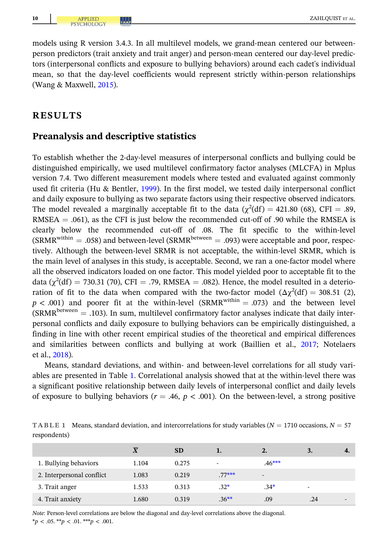models using R version 3.4.3. In all multilevel models, we grand-mean centered our betweenperson predictors (trait anxiety and trait anger) and person-mean centered our day-level predictors (interpersonal conflicts and exposure to bullying behaviors) around each cadet's individual mean, so that the day-level coefficients would represent strictly within-person relationships (Wang & Maxwell, [2015\)](#page-21-0).

# RESULTS

#### Preanalysis and descriptive statistics

To establish whether the 2-day-level measures of interpersonal conflicts and bullying could be distinguished empirically, we used multilevel confirmatory factor analyses (MLCFA) in Mplus version 7.4. Two different measurement models where tested and evaluated against commonly used fit criteria (Hu & Bentler, [1999\)](#page-19-0). In the first model, we tested daily interpersonal conflict and daily exposure to bullying as two separate factors using their respective observed indicators. The model revealed a marginally acceptable fit to the data ( $\chi^2(df) = 421.80$  (68), CFI = .89, RMSEA  $=$  .061), as the CFI is just below the recommended cut-off of .90 while the RMSEA is clearly below the recommended cut-off of .08. The fit specific to the within-level  $(SRMR<sup>within</sup> = .058)$  and between-level  $(SRMR<sup>between</sup> = .093)$  were acceptable and poor, respectively. Although the between-level SRMR is not acceptable, the within-level SRMR, which is the main level of analyses in this study, is acceptable. Second, we ran a one-factor model where all the observed indicators loaded on one factor. This model yielded poor to acceptable fit to the data ( $\chi^2(df) = 730.31$  (70), CFI = .79, RMSEA = .082). Hence, the model resulted in a deterioration of fit to the data when compared with the two-factor model  $(\Delta \chi^2(df) = 308.51$  (2),  $p < .001$ ) and poorer fit at the within-level (SRMR<sup>within</sup> = .073) and the between level  $(SRMR<sup>between</sup> = .103)$ . In sum, multilevel confirmatory factor analyses indicate that daily interpersonal conflicts and daily exposure to bullying behaviors can be empirically distinguished, a finding in line with other recent empirical studies of the theoretical and empirical differences and similarities between conflicts and bullying at work (Baillien et al., [2017](#page-18-0); Notelaers et al., [2018\)](#page-20-0).

Means, standard deviations, and within- and between-level correlations for all study variables are presented in Table 1. Correlational analysis showed that at the within-level there was a significant positive relationship between daily levels of interpersonal conflict and daily levels of exposure to bullying behaviors ( $r = .46$ ,  $p < .001$ ). On the between-level, a strong positive

TABLE 1 Means, standard deviation, and intercorrelations for study variables ( $N = 1710$  occasions,  $N = 57$ respondents)

|                           | $\overline{X}$ | <b>SD</b> |          | 2.                       | 3.  |  |
|---------------------------|----------------|-----------|----------|--------------------------|-----|--|
| 1. Bullying behaviors     | 1.104          | 0.275     |          | $.46***$                 |     |  |
| 2. Interpersonal conflict | 1.083          | 0.219     | $.77***$ | $\overline{\phantom{a}}$ |     |  |
| 3. Trait anger            | 1.533          | 0.313     | $.32*$   | $.34*$                   |     |  |
| 4. Trait anxiety          | 1.680          | 0.319     | $.36**$  | .09                      | .24 |  |

Note: Person-level correlations are below the diagonal and day-level correlations above the diagonal.  $*_p$  < .05.  $*_p$  < .01.  $**_p$  < .001.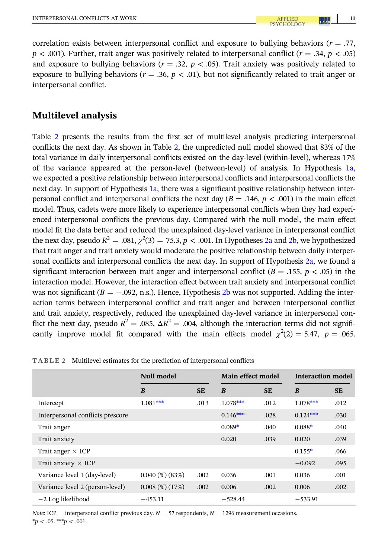correlation exists between interpersonal conflict and exposure to bullying behaviors ( $r = .77$ ,  $p < .001$ ). Further, trait anger was positively related to interpersonal conflict ( $r = .34$ ,  $p < .05$ ) and exposure to bullying behaviors ( $r = .32$ ,  $p < .05$ ). Trait anxiety was positively related to exposure to bullying behaviors ( $r = .36$ ,  $p < .01$ ), but not significantly related to trait anger or interpersonal conflict.

# Multilevel analysis

Table 2 presents the results from the first set of multilevel analysis predicting interpersonal conflicts the next day. As shown in Table 2, the unpredicted null model showed that 83% of the total variance in daily interpersonal conflicts existed on the day-level (within-level), whereas 17% of the variance appeared at the person-level (between-level) of analysis. In Hypothesis [1a,](#page-4-0) we expected a positive relationship between interpersonal conflicts and interpersonal conflicts the next day. In support of Hypothesis [1a](#page-4-0), there was a significant positive relationship between interpersonal conflict and interpersonal conflicts the next day  $(B = .146, p < .001)$  in the main effect model. Thus, cadets were more likely to experience interpersonal conflicts when they had experienced interpersonal conflicts the previous day. Compared with the null model, the main effect model fit the data better and reduced the unexplained day-level variance in interpersonal conflict the next day, pseudo  $R^2 = .081, \chi^2\!\left(3\right) = 75.3, p < .001.$  In Hypotheses [2a](#page-6-0) and [2b,](#page-6-0) we hypothesized that trait anger and trait anxiety would moderate the positive relationship between daily interpersonal conflicts and interpersonal conflicts the next day. In support of Hypothesis [2a](#page-6-0), we found a significant interaction between trait anger and interpersonal conflict ( $B = .155$ ,  $p < .05$ ) in the interaction model. However, the interaction effect between trait anxiety and interpersonal conflict was not significant ( $B = -.092$ , n.s.). Hence, Hypothesis [2b](#page-6-0) was not supported. Adding the interaction terms between interpersonal conflict and trait anger and between interpersonal conflict and trait anxiety, respectively, reduced the unexplained day-level variance in interpersonal conflict the next day, pseudo  $R^2 = .085$ ,  $\Delta R^2 = .004$ , although the interaction terms did not significantly improve model fit compared with the main effects model  $\chi^2(2) = 5.47$ ,  $p = .065$ .

|                                  | Null model            |           | Main effect model |           | Interaction model |           |
|----------------------------------|-----------------------|-----------|-------------------|-----------|-------------------|-----------|
|                                  | B                     | <b>SE</b> | B                 | <b>SE</b> | B                 | <b>SE</b> |
| Intercept                        | $1.081***$            | .013      | $1.078***$        | .012      | $1.078***$        | .012      |
| Interpersonal conflicts prescore |                       |           | $0.146***$        | .028      | $0.124***$        | .030      |
| Trait anger                      |                       |           | $0.089*$          | .040      | $0.088*$          | .040      |
| Trait anxiety                    |                       |           | 0.020             | .039      | 0.020             | .039      |
| Trait anger $\times$ ICP         |                       |           |                   |           | $0.155*$          | .066      |
| Trait anxiety $\times$ ICP       |                       |           |                   |           | $-0.092$          | .095      |
| Variance level 1 (day-level)     | $0.040\ (\%)\ (83\%)$ | .002      | 0.036             | .001      | 0.036             | .001      |
| Variance level 2 (person-level)  | $0.008\ (\%)\ (17\%)$ | .002      | 0.006             | .002      | 0.006             | .002      |
| $-2$ Log likelihood              | $-453.11$             |           | $-528.44$         |           | $-533.91$         |           |

TABLE 2 Multilevel estimates for the prediction of interpersonal conflicts

Note: ICP = interpersonal conflict previous day.  $N = 57$  respondents,  $N = 1296$  measurement occasions.  $*_{p}$  < .05. \*\*\*p < .001.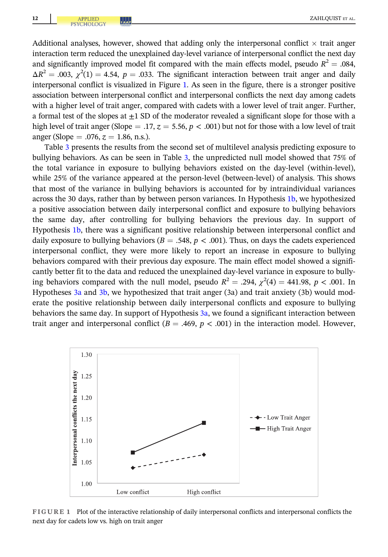Additional analyses, however, showed that adding only the interpersonal conflict  $\times$  trait anger interaction term reduced the unexplained day-level variance of interpersonal conflict the next day and significantly improved model fit compared with the main effects model, pseudo  $R^2 = .084$ ,  $\Delta R^2 = 0.003$ ,  $\chi^2(1) = 4.54$ ,  $p = 0.033$ . The significant interaction between trait anger and daily interpersonal conflict is visualized in Figure 1. As seen in the figure, there is a stronger positive association between interpersonal conflict and interpersonal conflicts the next day among cadets with a higher level of trait anger, compared with cadets with a lower level of trait anger. Further, a formal test of the slopes at  $+1$  SD of the moderator revealed a significant slope for those with a high level of trait anger (Slope = .17,  $z = 5.56$ ,  $p < .001$ ) but not for those with a low level of trait anger (Slope = .076,  $z = 1.86$ , n.s.).

Table [3](#page-12-0) presents the results from the second set of multilevel analysis predicting exposure to bullying behaviors. As can be seen in Table [3](#page-12-0), the unpredicted null model showed that 75% of the total variance in exposure to bullying behaviors existed on the day-level (within-level), while 25% of the variance appeared at the person-level (between-level) of analysis. This shows that most of the variance in bullying behaviors is accounted for by intraindividual variances across the 30 days, rather than by between person variances. In Hypothesis [1b](#page-4-0), we hypothesized a positive association between daily interpersonal conflict and exposure to bullying behaviors the same day, after controlling for bullying behaviors the previous day. In support of Hypothesis [1b,](#page-4-0) there was a significant positive relationship between interpersonal conflict and daily exposure to bullying behaviors ( $B = .548$ ,  $p < .001$ ). Thus, on days the cadets experienced interpersonal conflict, they were more likely to report an increase in exposure to bullying behaviors compared with their previous day exposure. The main effect model showed a significantly better fit to the data and reduced the unexplained day-level variance in exposure to bullying behaviors compared with the null model, pseudo  $R^2 = .294$ ,  $\chi^2(4) = 441.98$ ,  $p < .001$ . In Hypotheses [3a](#page-6-0) and [3b](#page-6-0), we hypothesized that trait anger (3a) and trait anxiety (3b) would moderate the positive relationship between daily interpersonal conflicts and exposure to bullying behaviors the same day. In support of Hypothesis [3a,](#page-6-0) we found a significant interaction between trait anger and interpersonal conflict ( $B = .469$ ,  $p < .001$ ) in the interaction model. However,



FIGURE 1 Plot of the interactive relationship of daily interpersonal conflicts and interpersonal conflicts the next day for cadets low vs. high on trait anger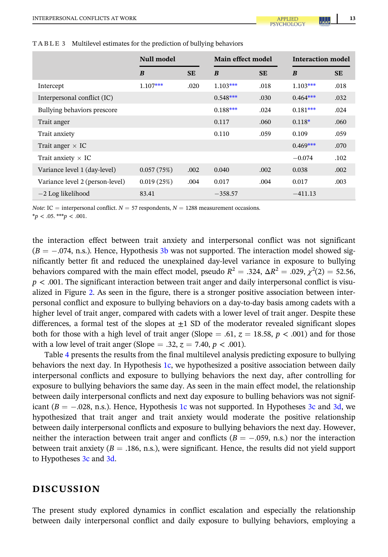| Null model                      |            |           | Main effect model |           | <b>Interaction model</b> |           |
|---------------------------------|------------|-----------|-------------------|-----------|--------------------------|-----------|
|                                 | B          | <b>SE</b> | B                 | <b>SE</b> | B                        | <b>SE</b> |
| Intercept                       | $1.107***$ | .020      | $1.103***$        | .018      | $1.103***$               | .018      |
| Interpersonal conflict (IC)     |            |           | $0.548***$        | .030      | $0.464***$               | .032      |
| Bullying behaviors prescore     |            |           | $0.188***$        | .024      | $0.181***$               | .024      |
| Trait anger                     |            |           | 0.117             | .060      | $0.118*$                 | .060      |
| Trait anxiety                   |            |           | 0.110             | .059      | 0.109                    | .059      |
| Trait anger $\times$ IC         |            |           |                   |           | $0.469***$               | .070      |
| Trait anxiety $\times$ IC       |            |           |                   |           | $-0.074$                 | .102      |
| Variance level 1 (day-level)    | 0.057(75%) | .002      | 0.040             | .002      | 0.038                    | .002      |
| Variance level 2 (person-level) | 0.019(25%) | .004      | 0.017             | .004      | 0.017                    | .003      |
| $-2$ Log likelihood             | 83.41      |           | $-358.57$         |           | $-411.13$                |           |

<span id="page-12-0"></span>TABLE 3 Multilevel estimates for the prediction of bullying behaviors

*Note*: IC = interpersonal conflict.  $N = 57$  respondents,  $N = 1288$  measurement occasions.

 $**p* < .05.****p* < .001.$ 

the interaction effect between trait anxiety and interpersonal conflict was not significant  $(B = -.074, n.s.)$ . Hence, Hypothesis [3b](#page-6-0) was not supported. The interaction model showed significantly better fit and reduced the unexplained day-level variance in exposure to bullying behaviors compared with the main effect model, pseudo  $R^2 = .324$ ,  $\Delta R^2 = .029$ ,  $\chi^2(2) = 52.56$ ,  $p < .001$ . The significant interaction between trait anger and daily interpersonal conflict is visualized in Figure [2.](#page-13-0) As seen in the figure, there is a stronger positive association between interpersonal conflict and exposure to bullying behaviors on a day-to-day basis among cadets with a higher level of trait anger, compared with cadets with a lower level of trait anger. Despite these differences, a formal test of the slopes at  $\pm 1$  SD of the moderator revealed significant slopes both for those with a high level of trait anger (Slope = .61,  $z = 18.58$ ,  $p < .001$ ) and for those with a low level of trait anger (Slope = .32,  $z = 7.40$ ,  $p < .001$ ).

Table [4](#page-13-0) presents the results from the final multilevel analysis predicting exposure to bullying behaviors the next day. In Hypothesis [1c,](#page-4-0) we hypothesized a positive association between daily interpersonal conflicts and exposure to bullying behaviors the next day, after controlling for exposure to bullying behaviors the same day. As seen in the main effect model, the relationship between daily interpersonal conflicts and next day exposure to bulling behaviors was not significant  $(B = -.028, n.s.)$ . Hence, Hypothesis [1c](#page-4-0) was not supported. In Hypotheses [3c](#page-6-0) and [3d,](#page-7-0) we hypothesized that trait anger and trait anxiety would moderate the positive relationship between daily interpersonal conflicts and exposure to bullying behaviors the next day. However, neither the interaction between trait anger and conflicts ( $B = -.059$ , n.s.) nor the interaction between trait anxiety ( $B = .186$ , n.s.), were significant. Hence, the results did not yield support to Hypotheses [3c](#page-6-0) and [3d](#page-7-0).

# DISCUSSION

The present study explored dynamics in conflict escalation and especially the relationship between daily interpersonal conflict and daily exposure to bullying behaviors, employing a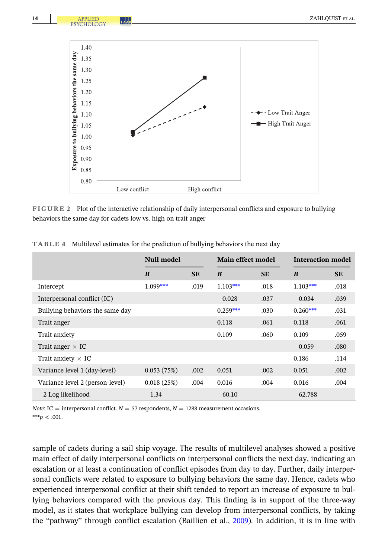<span id="page-13-0"></span>

FIGURE 2 Plot of the interactive relationship of daily interpersonal conflicts and exposure to bullying behaviors the same day for cadets low vs. high on trait anger

|                                 | Null model |           | Main effect model |           | <b>Interaction model</b> |           |
|---------------------------------|------------|-----------|-------------------|-----------|--------------------------|-----------|
|                                 | B          | <b>SE</b> | B                 | <b>SE</b> | B                        | <b>SE</b> |
| Intercept                       | $1.099***$ | .019      | $1.103***$        | .018      | $1.103***$               | .018      |
| Interpersonal conflict (IC)     |            |           | $-0.028$          | .037      | $-0.034$                 | .039      |
| Bullying behaviors the same day |            |           | $0.259***$        | .030      | $0.260***$               | .031      |
| Trait anger                     |            |           | 0.118             | .061      | 0.118                    | .061      |
| Trait anxiety                   |            |           | 0.109             | .060      | 0.109                    | .059      |
| Trait anger $\times$ IC         |            |           |                   |           | $-0.059$                 | .080      |
| Trait anxiety $\times$ IC       |            |           |                   |           | 0.186                    | .114      |
| Variance level 1 (day-level)    | 0.053(75%) | .002      | 0.051             | .002      | 0.051                    | .002      |
| Variance level 2 (person-level) | 0.018(25%) | .004      | 0.016             | .004      | 0.016                    | .004      |
| $-2$ Log likelihood             | $-1.34$    |           | $-60.10$          |           | $-62.788$                |           |

TABLE 4 Multilevel estimates for the prediction of bullying behaviors the next day

*Note*: IC = interpersonal conflict.  $N = 57$  respondents,  $N = 1288$  measurement occasions.

\*\*\*p < .001.

sample of cadets during a sail ship voyage. The results of multilevel analyses showed a positive main effect of daily interpersonal conflicts on interpersonal conflicts the next day, indicating an escalation or at least a continuation of conflict episodes from day to day. Further, daily interpersonal conflicts were related to exposure to bullying behaviors the same day. Hence, cadets who experienced interpersonal conflict at their shift tended to report an increase of exposure to bullying behaviors compared with the previous day. This finding is in support of the three-way model, as it states that workplace bullying can develop from interpersonal conflicts, by taking the "pathway" through conflict escalation (Baillien et al., [2009](#page-18-0)). In addition, it is in line with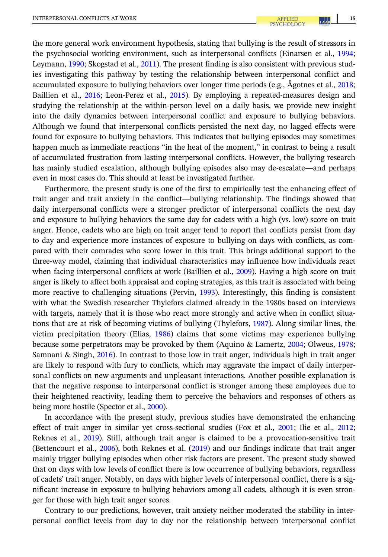the more general work environment hypothesis, stating that bullying is the result of stressors in the psychosocial working environment, such as interpersonal conflicts (Einarsen et al., [1994;](#page-19-0) Leymann, [1990](#page-20-0); Skogstad et al., [2011\)](#page-21-0). The present finding is also consistent with previous studies investigating this pathway by testing the relationship between interpersonal conflict and accumulated exposure to bullying behaviors over longer time periods (e.g., Ågotnes et al., [2018;](#page-18-0) Baillien et al., [2016](#page-18-0); Leon-Perez et al., [2015\)](#page-20-0). By employing a repeated-measures design and studying the relationship at the within-person level on a daily basis, we provide new insight into the daily dynamics between interpersonal conflict and exposure to bullying behaviors. Although we found that interpersonal conflicts persisted the next day, no lagged effects were found for exposure to bullying behaviors. This indicates that bullying episodes may sometimes happen much as immediate reactions "in the heat of the moment," in contrast to being a result of accumulated frustration from lasting interpersonal conflicts. However, the bullying research has mainly studied escalation, although bullying episodes also may de-escalate—and perhaps even in most cases do. This should at least be investigated further.

Furthermore, the present study is one of the first to empirically test the enhancing effect of trait anger and trait anxiety in the conflict—bullying relationship. The findings showed that daily interpersonal conflicts were a stronger predictor of interpersonal conflicts the next day and exposure to bullying behaviors the same day for cadets with a high (vs. low) score on trait anger. Hence, cadets who are high on trait anger tend to report that conflicts persist from day to day and experience more instances of exposure to bullying on days with conflicts, as compared with their comrades who score lower in this trait. This brings additional support to the three-way model, claiming that individual characteristics may influence how individuals react when facing interpersonal conflicts at work (Baillien et al., [2009\)](#page-18-0). Having a high score on trait anger is likely to affect both appraisal and coping strategies, as this trait is associated with being more reactive to challenging situations (Pervin, [1993\)](#page-20-0). Interestingly, this finding is consistent with what the Swedish researcher Thylefors claimed already in the 1980s based on interviews with targets, namely that it is those who react more strongly and active when in conflict situations that are at risk of becoming victims of bullying (Thylefors, [1987\)](#page-21-0). Along similar lines, the victim precipitation theory (Elias, [1986](#page-19-0)) claims that some victims may experience bullying because some perpetrators may be provoked by them (Aquino & Lamertz, [2004](#page-18-0); Olweus, [1978;](#page-20-0) Samnani & Singh, [2016\)](#page-21-0). In contrast to those low in trait anger, individuals high in trait anger are likely to respond with fury to conflicts, which may aggravate the impact of daily interpersonal conflicts on new arguments and unpleasant interactions. Another possible explanation is that the negative response to interpersonal conflict is stronger among these employees due to their heightened reactivity, leading them to perceive the behaviors and responses of others as being more hostile (Spector et al., [2000\)](#page-21-0).

In accordance with the present study, previous studies have demonstrated the enhancing effect of trait anger in similar yet cross-sectional studies (Fox et al., [2001](#page-19-0); Ilie et al., [2012;](#page-19-0) Reknes et al., [2019\)](#page-20-0). Still, although trait anger is claimed to be a provocation-sensitive trait (Bettencourt et al., [2006](#page-18-0)), both Reknes et al. [\(2019\)](#page-20-0) and our findings indicate that trait anger mainly trigger bullying episodes when other risk factors are present. The present study showed that on days with low levels of conflict there is low occurrence of bullying behaviors, regardless of cadets' trait anger. Notably, on days with higher levels of interpersonal conflict, there is a significant increase in exposure to bullying behaviors among all cadets, although it is even stronger for those with high trait anger scores.

Contrary to our predictions, however, trait anxiety neither moderated the stability in interpersonal conflict levels from day to day nor the relationship between interpersonal conflict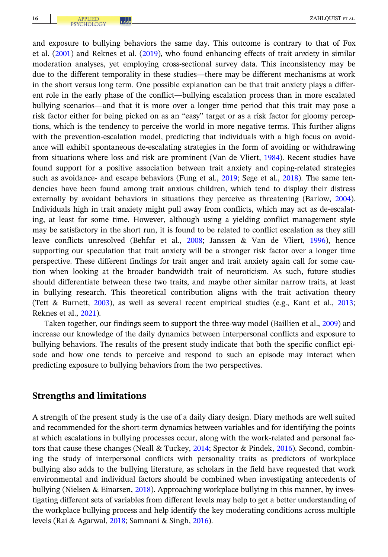and exposure to bullying behaviors the same day. This outcome is contrary to that of Fox et al. ([2001](#page-19-0)) and Reknes et al. ([2019](#page-20-0)), who found enhancing effects of trait anxiety in similar moderation analyses, yet employing cross-sectional survey data. This inconsistency may be due to the different temporality in these studies—there may be different mechanisms at work in the short versus long term. One possible explanation can be that trait anxiety plays a different role in the early phase of the conflict—bullying escalation process than in more escalated bullying scenarios—and that it is more over a longer time period that this trait may pose a risk factor either for being picked on as an "easy" target or as a risk factor for gloomy perceptions, which is the tendency to perceive the world in more negative terms. This further aligns with the prevention-escalation model, predicting that individuals with a high focus on avoidance will exhibit spontaneous de-escalating strategies in the form of avoiding or withdrawing from situations where loss and risk are prominent (Van de Vliert, [1984](#page-21-0)). Recent studies have found support for a positive association between trait anxiety and coping-related strategies such as avoidance- and escape behaviors (Fung et al., [2019;](#page-19-0) Sege et al., [2018\)](#page-21-0). The same tendencies have been found among trait anxious children, which tend to display their distress externally by avoidant behaviors in situations they perceive as threatening (Barlow, [2004](#page-18-0)). Individuals high in trait anxiety might pull away from conflicts, which may act as de-escalating, at least for some time. However, although using a yielding conflict management style may be satisfactory in the short run, it is found to be related to conflict escalation as they still leave conflicts unresolved (Behfar et al., [2008](#page-18-0); Janssen & Van de Vliert, [1996\)](#page-19-0), hence supporting our speculation that trait anxiety will be a stronger risk factor over a longer time perspective. These different findings for trait anger and trait anxiety again call for some caution when looking at the broader bandwidth trait of neuroticism. As such, future studies should differentiate between these two traits, and maybe other similar narrow traits, at least in bullying research. This theoretical contribution aligns with the trait activation theory (Tett & Burnett, [2003\)](#page-21-0), as well as several recent empirical studies (e.g., Kant et al., [2013;](#page-20-0) Reknes et al., [2021](#page-21-0)).

Taken together, our findings seem to support the three-way model (Baillien et al., [2009](#page-18-0)) and increase our knowledge of the daily dynamics between interpersonal conflicts and exposure to bullying behaviors. The results of the present study indicate that both the specific conflict episode and how one tends to perceive and respond to such an episode may interact when predicting exposure to bullying behaviors from the two perspectives.

## Strengths and limitations

A strength of the present study is the use of a daily diary design. Diary methods are well suited and recommended for the short-term dynamics between variables and for identifying the points at which escalations in bullying processes occur, along with the work-related and personal fac-tors that cause these changes (Neall & Tuckey, [2014](#page-20-0); Spector & Pindek, [2016](#page-21-0)). Second, combining the study of interpersonal conflicts with personality traits as predictors of workplace bullying also adds to the bullying literature, as scholars in the field have requested that work environmental and individual factors should be combined when investigating antecedents of bullying (Nielsen & Einarsen, [2018](#page-20-0)). Approaching workplace bullying in this manner, by investigating different sets of variables from different levels may help to get a better understanding of the workplace bullying process and help identify the key moderating conditions across multiple levels (Rai & Agarwal, [2018;](#page-20-0) Samnani & Singh, [2016\)](#page-21-0).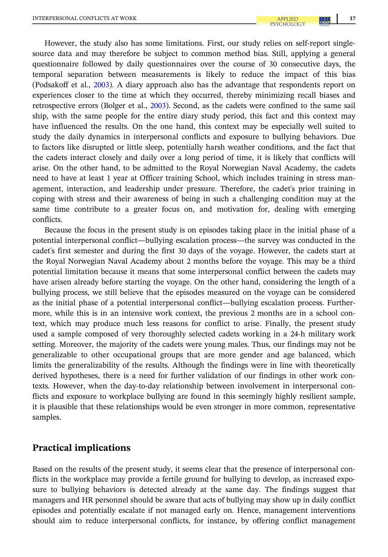However, the study also has some limitations. First, our study relies on self-report singlesource data and may therefore be subject to common method bias. Still, applying a general questionnaire followed by daily questionnaires over the course of 30 consecutive days, the temporal separation between measurements is likely to reduce the impact of this bias (Podsakoff et al., [2003\)](#page-20-0). A diary approach also has the advantage that respondents report on experiences closer to the time at which they occurred, thereby minimizing recall biases and retrospective errors (Bolger et al., [2003](#page-18-0)). Second, as the cadets were confined to the same sail ship, with the same people for the entire diary study period, this fact and this context may have influenced the results. On the one hand, this context may be especially well suited to study the daily dynamics in interpersonal conflicts and exposure to bullying behaviors. Due to factors like disrupted or little sleep, potentially harsh weather conditions, and the fact that the cadets interact closely and daily over a long period of time, it is likely that conflicts will arise. On the other hand, to be admitted to the Royal Norwegian Naval Academy, the cadets need to have at least 1 year at Officer training School, which includes training in stress management, interaction, and leadership under pressure. Therefore, the cadet's prior training in coping with stress and their awareness of being in such a challenging condition may at the same time contribute to a greater focus on, and motivation for, dealing with emerging conflicts.

Because the focus in the present study is on episodes taking place in the initial phase of a potential interpersonal conflict—bullying escalation process—the survey was conducted in the cadet's first semester and during the first 30 days of the voyage. However, the cadets start at the Royal Norwegian Naval Academy about 2 months before the voyage. This may be a third potential limitation because it means that some interpersonal conflict between the cadets may have arisen already before starting the voyage. On the other hand, considering the length of a bullying process, we still believe that the episodes measured on the voyage can be considered as the initial phase of a potential interpersonal conflict—bullying escalation process. Furthermore, while this is in an intensive work context, the previous 2 months are in a school context, which may produce much less reasons for conflict to arise. Finally, the present study used a sample composed of very thoroughly selected cadets working in a 24-h military work setting. Moreover, the majority of the cadets were young males. Thus, our findings may not be generalizable to other occupational groups that are more gender and age balanced, which limits the generalizability of the results. Although the findings were in line with theoretically derived hypotheses, there is a need for further validation of our findings in other work contexts. However, when the day-to-day relationship between involvement in interpersonal conflicts and exposure to workplace bullying are found in this seemingly highly resilient sample, it is plausible that these relationships would be even stronger in more common, representative samples.

## Practical implications

Based on the results of the present study, it seems clear that the presence of interpersonal conflicts in the workplace may provide a fertile ground for bullying to develop, as increased exposure to bullying behaviors is detected already at the same day. The findings suggest that managers and HR personnel should be aware that acts of bullying may show up in daily conflict episodes and potentially escalate if not managed early on. Hence, management interventions should aim to reduce interpersonal conflicts, for instance, by offering conflict management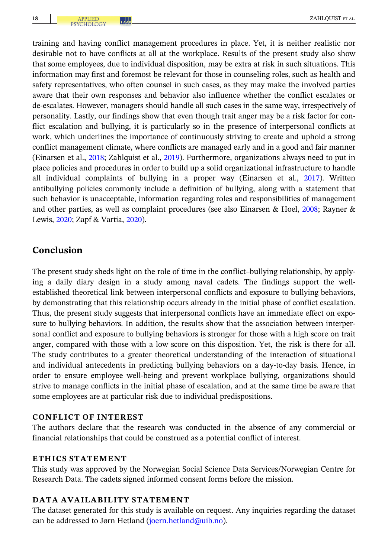training and having conflict management procedures in place. Yet, it is neither realistic nor desirable not to have conflicts at all at the workplace. Results of the present study also show that some employees, due to individual disposition, may be extra at risk in such situations. This information may first and foremost be relevant for those in counseling roles, such as health and safety representatives, who often counsel in such cases, as they may make the involved parties aware that their own responses and behavior also influence whether the conflict escalates or de-escalates. However, managers should handle all such cases in the same way, irrespectively of personality. Lastly, our findings show that even though trait anger may be a risk factor for conflict escalation and bullying, it is particularly so in the presence of interpersonal conflicts at work, which underlines the importance of continuously striving to create and uphold a strong conflict management climate, where conflicts are managed early and in a good and fair manner (Einarsen et al., [2018](#page-19-0); Zahlquist et al., [2019](#page-21-0)). Furthermore, organizations always need to put in place policies and procedures in order to build up a solid organizational infrastructure to handle all individual complaints of bullying in a proper way (Einarsen et al., [2017](#page-19-0)). Written antibullying policies commonly include a definition of bullying, along with a statement that such behavior is unacceptable, information regarding roles and responsibilities of management and other parties, as well as complaint procedures (see also Einarsen & Hoel, [2008](#page-18-0); Rayner & Lewis, [2020;](#page-20-0) Zapf & Vartia, [2020](#page-21-0)).

# Conclusion

The present study sheds light on the role of time in the conflict–bullying relationship, by applying a daily diary design in a study among naval cadets. The findings support the wellestablished theoretical link between interpersonal conflicts and exposure to bullying behaviors, by demonstrating that this relationship occurs already in the initial phase of conflict escalation. Thus, the present study suggests that interpersonal conflicts have an immediate effect on exposure to bullying behaviors. In addition, the results show that the association between interpersonal conflict and exposure to bullying behaviors is stronger for those with a high score on trait anger, compared with those with a low score on this disposition. Yet, the risk is there for all. The study contributes to a greater theoretical understanding of the interaction of situational and individual antecedents in predicting bullying behaviors on a day-to-day basis. Hence, in order to ensure employee well-being and prevent workplace bullying, organizations should strive to manage conflicts in the initial phase of escalation, and at the same time be aware that some employees are at particular risk due to individual predispositions.

## CONFLICT OF INTEREST

The authors declare that the research was conducted in the absence of any commercial or financial relationships that could be construed as a potential conflict of interest.

## ETHICS STATEMENT

This study was approved by the Norwegian Social Science Data Services/Norwegian Centre for Research Data. The cadets signed informed consent forms before the mission.

## DATA AVAILABILITY STATEMENT

The dataset generated for this study is available on request. Any inquiries regarding the dataset can be addressed to Jørn Hetland [\(joern.hetland@uib.no\)](mailto:joern.hetland@uib.no).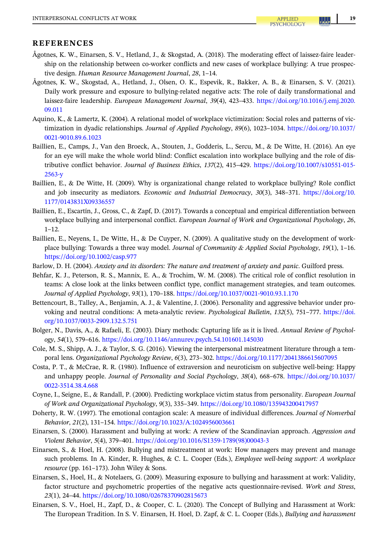#### <span id="page-18-0"></span>REFERENCES

- Ågotnes, K. W., Einarsen, S. V., Hetland, J., & Skogstad, A. (2018). The moderating effect of laissez-faire leadership on the relationship between co-worker conflicts and new cases of workplace bullying: A true prospective design. Human Resource Management Journal, 28, 1–14.
- Ågotnes, K. W., Skogstad, A., Hetland, J., Olsen, O. K., Espevik, R., Bakker, A. B., & Einarsen, S. V. (2021). Daily work pressure and exposure to bullying-related negative acts: The role of daily transformational and laissez‐faire leadership. European Management Journal, 39(4), 423–433. [https://doi.org/10.1016/j.emj.2020.](https://doi.org/10.1016/j.emj.2020.09.011) [09.011](https://doi.org/10.1016/j.emj.2020.09.011)
- Aquino, K., & Lamertz, K. (2004). A relational model of workplace victimization: Social roles and patterns of victimization in dyadic relationships. Journal of Applied Psychology, 89(6), 1023–1034. [https://doi.org/10.1037/](https://doi.org/10.1037/0021-9010.89.6.1023) [0021-9010.89.6.1023](https://doi.org/10.1037/0021-9010.89.6.1023)
- Baillien, E., Camps, J., Van den Broeck, A., Stouten, J., Godderis, L., Sercu, M., & De Witte, H. (2016). An eye for an eye will make the whole world blind: Conflict escalation into workplace bullying and the role of distributive conflict behavior. Journal of Business Ethics, 137(2), 415–429. [https://doi.org/10.1007/s10551-015-](https://doi.org/10.1007/s10551-015-2563-y) [2563-y](https://doi.org/10.1007/s10551-015-2563-y)
- Baillien, E., & De Witte, H. (2009). Why is organizational change related to workplace bullying? Role conflict and job insecurity as mediators. Economic and Industrial Democracy, 30(3), 348–371. [https://doi.org/10.](https://doi.org/10.1177/0143831X09336557) [1177/0143831X09336557](https://doi.org/10.1177/0143831X09336557)
- Baillien, E., Escartín, J., Gross, C., & Zapf, D. (2017). Towards a conceptual and empirical differentiation between workplace bullying and interpersonal conflict. European Journal of Work and Organizational Psychology, 26, 1–12.
- Baillien, E., Neyens, I., De Witte, H., & De Cuyper, N. (2009). A qualitative study on the development of workplace bullying: Towards a three way model. Journal of Community & Applied Social Psychology, 19(1), 1–16. <https://doi.org/10.1002/casp.977>
- Barlow, D. H. (2004). Anxiety and its disorders: The nature and treatment of anxiety and panic. Guilford press.
- Behfar, K. J., Peterson, R. S., Mannix, E. A., & Trochim, W. M. (2008). The critical role of conflict resolution in teams: A close look at the links between conflict type, conflict management strategies, and team outcomes. Journal of Applied Psychology, 93(1), 170–188. <https://doi.org/10.1037/0021-9010.93.1.170>
- Bettencourt, B., Talley, A., Benjamin, A. J., & Valentine, J. (2006). Personality and aggressive behavior under provoking and neutral conditions: A meta‐analytic review. Psychological Bulletin, 132(5), 751–777. [https://doi.](https://doi.org/10.1037/0033-2909.132.5.751) [org/10.1037/0033-2909.132.5.751](https://doi.org/10.1037/0033-2909.132.5.751)
- Bolger, N., Davis, A., & Rafaeli, E. (2003). Diary methods: Capturing life as it is lived. Annual Review of Psychology, 54(1), 579–616. <https://doi.org/10.1146/annurev.psych.54.101601.145030>
- Cole, M. S., Shipp, A. J., & Taylor, S. G. (2016). Viewing the interpersonal mistreatment literature through a temporal lens. Organizational Psychology Review, 6(3), 273–302. <https://doi.org/10.1177/2041386615607095>
- Costa, P. T., & McCrae, R. R. (1980). Influence of extraversion and neuroticism on subjective well‐being: Happy and unhappy people. Journal of Personality and Social Psychology, 38(4), 668–678. [https://doi.org/10.1037/](https://doi.org/10.1037/0022-3514.38.4.668) [0022-3514.38.4.668](https://doi.org/10.1037/0022-3514.38.4.668)
- Coyne, I., Seigne, E., & Randall, P. (2000). Predicting workplace victim status from personality. European Journal of Work and Organizational Psychology, 9(3), 335–349. <https://doi.org/10.1080/135943200417957>
- Doherty, R. W. (1997). The emotional contagion scale: A measure of individual differences. Journal of Nonverbal Behavior, 21(2), 131–154. <https://doi.org/10.1023/A:1024956003661>
- Einarsen, S. (2000). Harassment and bullying at work: A review of the Scandinavian approach. Aggression and Violent Behavior, 5(4), 379–401. [https://doi.org/10.1016/S1359-1789\(98\)00043-3](https://doi.org/10.1016/S1359-1789(98)00043-3)
- Einarsen, S., & Hoel, H. (2008). Bullying and mistreatment at work: How managers may prevent and manage such problems. In A. Kinder, R. Hughes, & C. L. Cooper (Eds.), Employee well-being support: A workplace resource (pp. 161–173). John Wiley & Sons.
- Einarsen, S., Hoel, H., & Notelaers, G. (2009). Measuring exposure to bullying and harassment at work: Validity, factor structure and psychometric properties of the negative acts questionnaire-revised. Work and Stress, 23(1), 24–44. <https://doi.org/10.1080/02678370902815673>
- Einarsen, S. V., Hoel, H., Zapf, D., & Cooper, C. L. (2020). The Concept of Bullying and Harassment at Work: The European Tradition. In S. V. Einarsen, H. Hoel, D. Zapf, & C. L. Cooper (Eds.), Bullying and harassment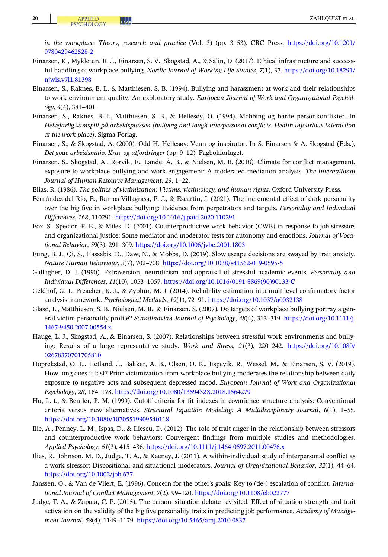<span id="page-19-0"></span>in the workplace: Theory, research and practice (Vol. 3) (pp. 3–53). CRC Press. [https://doi.org/10.1201/](https://doi.org/10.1201/9780429462528-2) [9780429462528-2](https://doi.org/10.1201/9780429462528-2)

- Einarsen, K., Mykletun, R. J., Einarsen, S. V., Skogstad, A., & Salin, D. (2017). Ethical infrastructure and successful handling of workplace bullying. Nordic Journal of Working Life Studies, 7(1), 37. [https://doi.org/10.18291/](https://doi.org/10.18291/njwls.v7i1.81398) [njwls.v7i1.81398](https://doi.org/10.18291/njwls.v7i1.81398)
- Einarsen, S., Raknes, B. I., & Matthiesen, S. B. (1994). Bullying and harassment at work and their relationships to work environment quality: An exploratory study. European Journal of Work and Organizational Psychology, 4(4), 381–401.
- Einarsen, S., Raknes, B. I., Matthiesen, S. B., & Hellesøy, O. (1994). Mobbing og harde personkonflikter. In Helsefarlig samspill på arbeidsplassen [bullying and tough interpersonal conflicts. Health injourious interaction at the work place]. Sigma Forlag.
- Einarsen, S., & Skogstad, A. (2000). Odd H. Hellesøy: Venn og inspirator. In S. Einarsen & A. Skogstad (Eds.), Det gode arbeidsmiljø. Krav og utfordringer (pp. 9–12). Fagbokforlaget.
- Einarsen, S., Skogstad, A., Rørvik, E., Lande, Å. B., & Nielsen, M. B. (2018). Climate for conflict management, exposure to workplace bullying and work engagement: A moderated mediation analysis. The International Journal of Human Resource Management, 29, 1–22.
- Elias, R. (1986). The politics of victimization: Victims, victimology, and human rights. Oxford University Press.
- Fernández-del-Río, E., Ramos-Villagrasa, P. J., & Escartín, J. (2021). The incremental effect of dark personality over the big five in workplace bullying: Evidence from perpetrators and targets. Personality and Individual Differences, 168, 110291. <https://doi.org/10.1016/j.paid.2020.110291>
- Fox, S., Spector, P. E., & Miles, D. (2001). Counterproductive work behavior (CWB) in response to job stressors and organizational justice: Some mediator and moderator tests for autonomy and emotions. Journal of Vocational Behavior, 59(3), 291–309. <https://doi.org/10.1006/jvbe.2001.1803>
- Fung, B. J., Qi, S., Hassabis, D., Daw, N., & Mobbs, D. (2019). Slow escape decisions are swayed by trait anxiety. Nature Human Behaviour, 3(7), 702–708. <https://doi.org/10.1038/s41562-019-0595-5>
- Gallagher, D. J. (1990). Extraversion, neuroticism and appraisal of stressful academic events. Personality and Individual Differences, 11(10), 1053–1057. [https://doi.org/10.1016/0191-8869\(90\)90133-C](https://doi.org/10.1016/0191-8869(90)90133-C)
- Geldhof, G. J., Preacher, K. J., & Zyphur, M. J. (2014). Reliability estimation in a multilevel confirmatory factor analysis framework. Psychological Methods, 19(1), 72–91. <https://doi.org/10.1037/a0032138>
- Glasø, L., Matthiesen, S. B., Nielsen, M. B., & Einarsen, S. (2007). Do targets of workplace bullying portray a general victim personality profile? Scandinavian Journal of Psychology, 48(4), 313–319. [https://doi.org/10.1111/j.](https://doi.org/10.1111/j.1467-9450.2007.00554.x) [1467-9450.2007.00554.x](https://doi.org/10.1111/j.1467-9450.2007.00554.x)
- Hauge, L. J., Skogstad, A., & Einarsen, S. (2007). Relationships between stressful work environments and bullying: Results of a large representative study. Work and Stress, 21(3), 220–242. [https://doi.org/10.1080/](https://doi.org/10.1080/02678370701705810) [02678370701705810](https://doi.org/10.1080/02678370701705810)
- Hoprekstad, Ø. L., Hetland, J., Bakker, A. B., Olsen, O. K., Espevik, R., Wessel, M., & Einarsen, S. V. (2019). How long does it last? Prior victimization from workplace bullying moderates the relationship between daily exposure to negative acts and subsequent depressed mood. European Journal of Work and Organizational Psychology, 28, 164–178. <https://doi.org/10.1080/1359432X.2018.1564279>
- Hu, L. t., & Bentler, P. M. (1999). Cutoff criteria for fit indexes in covariance structure analysis: Conventional criteria versus new alternatives. Structural Equation Modeling: A Multidisciplinary Journal, 6(1), 1–55. <https://doi.org/10.1080/10705519909540118>
- Ilie, A., Penney, L. M., Ispas, D., & Iliescu, D. (2012). The role of trait anger in the relationship between stressors and counterproductive work behaviors: Convergent findings from multiple studies and methodologies. Applied Psychology, 61(3), 415–436. <https://doi.org/10.1111/j.1464-0597.2011.00476.x>
- Ilies, R., Johnson, M. D., Judge, T. A., & Keeney, J. (2011). A within‐individual study of interpersonal conflict as a work stressor: Dispositional and situational moderators. Journal of Organizational Behavior, 32(1), 44–64. <https://doi.org/10.1002/job.677>
- Janssen, O., & Van de Vliert, E. (1996). Concern for the other's goals: Key to (de‐) escalation of conflict. International Journal of Conflict Management, 7(2), 99–120. <https://doi.org/10.1108/eb022777>
- Judge, T. A., & Zapata, C. P. (2015). The person–situation debate revisited: Effect of situation strength and trait activation on the validity of the big five personality traits in predicting job performance. Academy of Management Journal, 58(4), 1149–1179. <https://doi.org/10.5465/amj.2010.0837>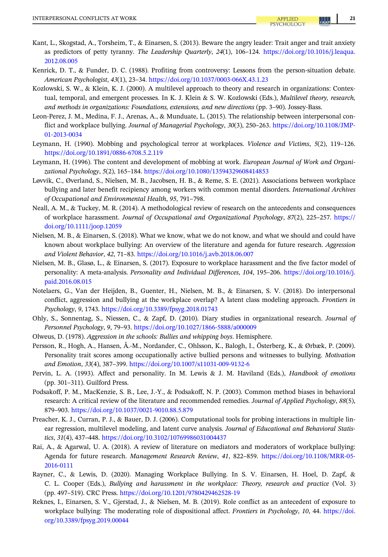- <span id="page-20-0"></span>Kant, L., Skogstad, A., Torsheim, T., & Einarsen, S. (2013). Beware the angry leader: Trait anger and trait anxiety as predictors of petty tyranny. The Leadership Quarterly, 24(1), 106–124. [https://doi.org/10.1016/j.leaqua.](https://doi.org/10.1016/j.leaqua.2012.08.005) [2012.08.005](https://doi.org/10.1016/j.leaqua.2012.08.005)
- Kenrick, D. T., & Funder, D. C. (1988). Profiting from controversy: Lessons from the person‐situation debate. American Psychologist, 43(1), 23–34. <https://doi.org/10.1037/0003-066X.43.1.23>
- Kozlowski, S. W., & Klein, K. J. (2000). A multilevel approach to theory and research in organizations: Contextual, temporal, and emergent processes. In K. J. Klein & S. W. Kozlowski (Eds.), Multilevel theory, research, and methods in organizations: Foundations, extensions, and new directions (pp. 3–90). Jossey‐Bass.
- Leon-Perez, J. M., Medina, F. J., Arenas, A., & Munduate, L. (2015). The relationship between interpersonal conflict and workplace bullying. Journal of Managerial Psychology, 30(3), 250–263. [https://doi.org/10.1108/JMP-](https://doi.org/10.1108/JMP-01-2013-0034)[01-2013-0034](https://doi.org/10.1108/JMP-01-2013-0034)
- Leymann, H. (1990). Mobbing and psychological terror at workplaces. Violence and Victims, 5(2), 119–126. <https://doi.org/10.1891/0886-6708.5.2.119>
- Leymann, H. (1996). The content and development of mobbing at work. European Journal of Work and Organizational Psychology, 5(2), 165–184. <https://doi.org/10.1080/13594329608414853>
- Løvvik, C., Øverland, S., Nielsen, M. B., Jacobsen, H. B., & Reme, S. E. (2021). Associations between workplace bullying and later benefit recipiency among workers with common mental disorders. International Archives of Occupational and Environmental Health, 95, 791–798.
- Neall, A. M., & Tuckey, M. R. (2014). A methodological review of research on the antecedents and consequences of workplace harassment. Journal of Occupational and Organizational Psychology, 87(2), 225–257. [https://](https://doi.org/10.1111/joop.12059) [doi.org/10.1111/joop.12059](https://doi.org/10.1111/joop.12059)
- Nielsen, M. B., & Einarsen, S. (2018). What we know, what we do not know, and what we should and could have known about workplace bullying: An overview of the literature and agenda for future research. Aggression and Violent Behavior, 42, 71–83. <https://doi.org/10.1016/j.avb.2018.06.007>
- Nielsen, M. B., Glasø, L., & Einarsen, S. (2017). Exposure to workplace harassment and the five factor model of personality: A meta‐analysis. Personality and Individual Differences, 104, 195–206. [https://doi.org/10.1016/j.](https://doi.org/10.1016/j.paid.2016.08.015) [paid.2016.08.015](https://doi.org/10.1016/j.paid.2016.08.015)
- Notelaers, G., Van der Heijden, B., Guenter, H., Nielsen, M. B., & Einarsen, S. V. (2018). Do interpersonal conflict, aggression and bullying at the workplace overlap? A latent class modeling approach. Frontiers in Psychology, 9, 1743. <https://doi.org/10.3389/fpsyg.2018.01743>
- Ohly, S., Sonnentag, S., Niessen, C., & Zapf, D. (2010). Diary studies in organizational research. Journal of Personnel Psychology, 9, 79–93. <https://doi.org/10.1027/1866-5888/a000009>
- Olweus, D. (1978). Aggression in the schools: Bullies and whipping boys. Hemisphere.
- Persson, R., Hogh, A., Hansen, Å.‐M., Nordander, C., Ohlsson, K., Balogh, I., Österberg, K., & Ørbæk, P. (2009). Personality trait scores among occupationally active bullied persons and witnesses to bullying. Motivation and Emotion, 33(4), 387–399. <https://doi.org/10.1007/s11031-009-9132-6>
- Pervin, L. A. (1993). Affect and personality. In M. Lewis & J. M. Haviland (Eds.), Handbook of emotions (pp. 301–311). Guilford Press.
- Podsakoff, P. M., MacKenzie, S. B., Lee, J.‐Y., & Podsakoff, N. P. (2003). Common method biases in behavioral research: A critical review of the literature and recommended remedies. Journal of Applied Psychology, 88(5), 879–903. <https://doi.org/10.1037/0021-9010.88.5.879>
- Preacher, K. J., Curran, P. J., & Bauer, D. J. (2006). Computational tools for probing interactions in multiple linear regression, multilevel modeling, and latent curve analysis. Journal of Educational and Behavioral Statistics, 31(4), 437–448. <https://doi.org/10.3102/10769986031004437>
- Rai, A., & Agarwal, U. A. (2018). A review of literature on mediators and moderators of workplace bullying: Agenda for future research. Management Research Review, 41, 822–859. [https://doi.org/10.1108/MRR-05-](https://doi.org/10.1108/MRR-05-2016-0111) [2016-0111](https://doi.org/10.1108/MRR-05-2016-0111)
- Rayner, C., & Lewis, D. (2020). Managing Workplace Bullying. In S. V. Einarsen, H. Hoel, D. Zapf, & C. L. Cooper (Eds.), Bullying and harassment in the workplace: Theory, research and practice (Vol. 3) (pp. 497–519). CRC Press. <https://doi.org/10.1201/9780429462528-19>
- Reknes, I., Einarsen, S. V., Gjerstad, J., & Nielsen, M. B. (2019). Role conflict as an antecedent of exposure to workplace bullying: The moderating role of dispositional affect. Frontiers in Psychology, 10, 44. [https://doi.](https://doi.org/10.3389/fpsyg.2019.00044) [org/10.3389/fpsyg.2019.00044](https://doi.org/10.3389/fpsyg.2019.00044)